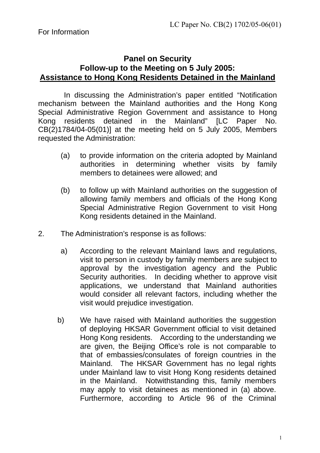## **Panel on Security Follow-up to the Meeting on 5 July 2005: Assistance to Hong Kong Residents Detained in the Mainland**

 In discussing the Administration's paper entitled "Notification mechanism between the Mainland authorities and the Hong Kong Special Administrative Region Government and assistance to Hong Kong residents detained in the Mainland" [LC Paper No. CB(2)1784/04-05(01)] at the meeting held on 5 July 2005, Members requested the Administration:

- (a) to provide information on the criteria adopted by Mainland authorities in determining whether visits by family members to detainees were allowed; and
- (b) to follow up with Mainland authorities on the suggestion of allowing family members and officials of the Hong Kong Special Administrative Region Government to visit Hong Kong residents detained in the Mainland.
- 2. The Administration's response is as follows:
	- a) According to the relevant Mainland laws and regulations, visit to person in custody by family members are subject to approval by the investigation agency and the Public Security authorities. In deciding whether to approve visit applications, we understand that Mainland authorities would consider all relevant factors, including whether the visit would prejudice investigation.
	- b) We have raised with Mainland authorities the suggestion of deploying HKSAR Government official to visit detained Hong Kong residents. According to the understanding we are given, the Beijing Office's role is not comparable to that of embassies/consulates of foreign countries in the Mainland. The HKSAR Government has no legal rights under Mainland law to visit Hong Kong residents detained in the Mainland. Notwithstanding this, family members may apply to visit detainees as mentioned in (a) above. Furthermore, according to Article 96 of the Criminal